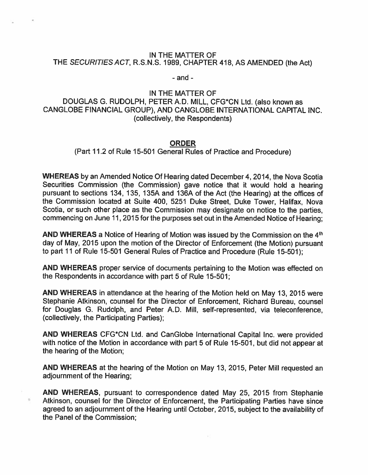## IN THE MATTER OF THE SECURITIES ACT, R.S.N.S. 1989, CHAPTER 418, AS AMENDED (the Act)

- and -

## IN THE MATTER OF DOUGLAS G. RUDOLPH, PETER A.D. MILL, CFG\*CN Ltd. (also known as CANGLOBE FINANCIAL GROUP), AND CANGLOBE INTERNATIONAL CAPITAL INC. (collectively, the Respondents)

## ORDER

(Part 11.2 of Rule 15-501 General Rules of Practice and Procedure)

WHEREAS by an Amended Notice Of Hearing dated December 4, 2014, the Nova Scotia Securities Commission (the Commission) gave notice that it would hold <sup>a</sup> hearing pursuan<sup>t</sup> to sections 134, 135, 135A and 136A of the Act (the Hearing) at the offices of the Commission located at Suite 400, 5251 Duke Street, Duke Tower, Halifax, Nova Scotia, or such other <sup>p</sup>lace as the Commission may designate on notice to the parties, commencing on June 11, <sup>2015</sup> for the purposes set out in the Amended Notice of Hearing;

AND WHEREAS a Notice of Hearing of Motion was issued by the Commission on the  $4<sup>th</sup>$ day of May, <sup>2015</sup> upon the motion of the Director of Enforcement (the Motion) pursuan<sup>t</sup> to par<sup>t</sup> 11 of Rule 15-501 General Rules of Practice and Procedure (Rule 15-501);

AND WHEREAS proper service of documents pertaining to the Motion was effected on the Respondents in accordance with par<sup>t</sup> 5 of Rule 15-501;

AND WHEREAS in attendance at the hearing of the Motion held on May 13, 2015 were Stephanie Atkinson, counsel for the Director of Enforcement, Richard Bureau, counsel for Douglas G. Rudolph, and Peter AD. Mill, self-represented, via teleconference, (collectively, the Participating Parties);

AND WHEREAS CFG\*CN Ltd. and CanGlobe International Capital Inc. were provided with notice of the Motion in accordance with par<sup>t</sup> 5 of Rule 15-501, but did not appear at the hearing of the Motion;

AND WHEREAS at the hearing of the Motion on May 13, 2015, Peter Mill requested an adjournment of the Hearing;

AND WHEREAS, pursuan<sup>t</sup> to correspondence dated May 25, 2015 from Stephanie Atkinson, counsel for the Director of Enforcement, the Participating Parties have since agreed to an adjournment of the Hearing until October, 2015, subject to the availability of the Panel of the Commission;

 $\alpha$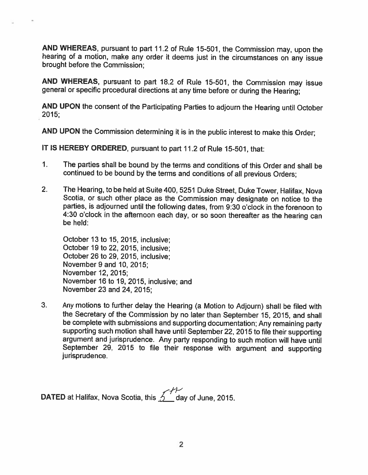AND WHEREAS, pursuant to part 11.2 of Rule 15-501, the Commission may, upon the hearing of <sup>a</sup> motion, make any order it deems just in the circumstances on any issue brought before the Commission;

AND WHEREAS, pursuant to part 18.2 of Rule 15-501, the Commission may issue general or specific procedural directions at any time before or during the Hearing;

AND UPON the consent of the Participating Parties to adjourn the Hearing until October 2015;

AND UPON the Commission determining it is in the public interest to make this Order;

IT IS HEREBY ORDERED, pursuant to part 11.2 of Rule 15-501, that:

- 1. The parties shall be bound by the terms and conditions of this Order and shall be continued to be bound by the terms and conditions of all previous Orders;
- 2. The Hearing, to be held at Suite 400, <sup>5251</sup> Duke Street, Duke Tower, Halifax, Nova Scotia, or such other <sup>p</sup>lace as the Commission may designate on notice to the parties, is adjourned until the following dates, from 9:30 <sup>o</sup>'clock in the forenoon to 4:30 <sup>o</sup>'clock in the afternoon each day, or so soon thereafter as the hearing can be held:

October 13 to 15, 2015, inclusive; October 19 to 22, 2015, inclusive; October 26 to 29, 2015, inclusive; November 9 and 10, 2015; November 12, 2015; November 16 to 19, 2015, inclusive; and November23 and 24, 2015;

3. Any motions to further delay the Hearing (a Motion to Adjourn) shall be filed with the Secretary of the Commission by no later than September 15, 2015, and shall be complete with submissions and supporting documentation; Any remaining party supporting such motion shall have until September 22, <sup>2015</sup> to file their supporting argument and jurisprudence. Any party responding to such motion will have until September 29, <sup>2015</sup> to file their response with argument and supporting jurisprudence.

DATED at Halifax, Nova Scotia, this  $\overbrace{2}^{++}$  day of June, 2015.